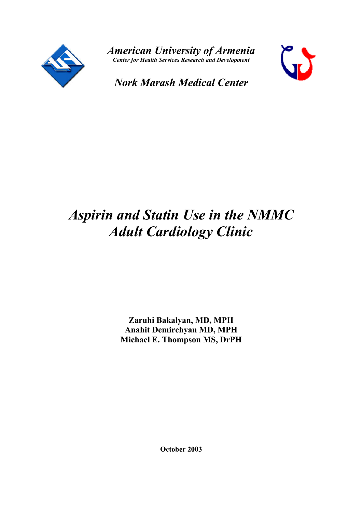

*American University of Armenia Center for Health Services Research and Development*



*Nork Marash Medical Center*

# *Aspirin and Statin Use in the NMMC Adult Cardiology Clinic*

**Zaruhi Bakalyan, MD, MPH Anahit Demirchyan MD, MPH Michael E. Thompson MS, DrPH**

**October 2003**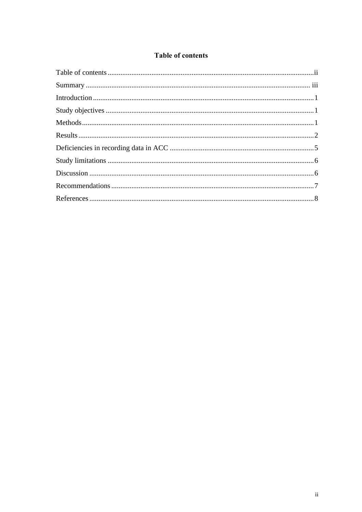# **Table of contents**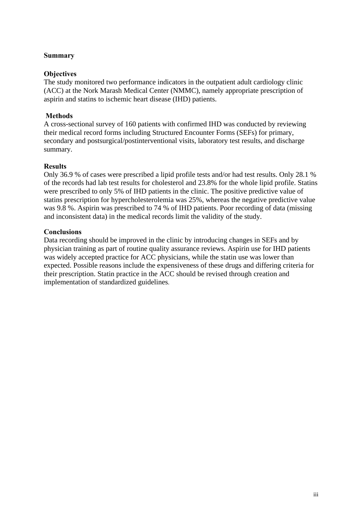### **Summary**

#### **Objectives**

The study monitored two performance indicators in the outpatient adult cardiology clinic (ACC) at the Nork Marash Medical Center (NMMC), namely appropriate prescription of aspirin and statins to ischemic heart disease (IHD) patients.

### **Methods**

A cross-sectional survey of 160 patients with confirmed IHD was conducted by reviewing their medical record forms including Structured Encounter Forms (SEFs) for primary, secondary and postsurgical/postinterventional visits, laboratory test results, and discharge summary.

#### **Results**

Only 36.9 % of cases were prescribed a lipid profile tests and/or had test results. Only 28.1 % of the records had lab test results for cholesterol and 23.8% for the whole lipid profile. Statins were prescribed to only 5% of IHD patients in the clinic. The positive predictive value of statins prescription for hypercholesterolemia was 25%, whereas the negative predictive value was 9.8 %. Aspirin was prescribed to 74 % of IHD patients. Poor recording of data (missing and inconsistent data) in the medical records limit the validity of the study.

#### **Conclusions**

Data recording should be improved in the clinic by introducing changes in SEFs and by physician training as part of routine quality assurance reviews. Aspirin use for IHD patients was widely accepted practice for ACC physicians, while the statin use was lower than expected. Possible reasons include the expensiveness of these drugs and differing criteria for their prescription. Statin practice in the ACC should be revised through creation and implementation of standardized guidelines.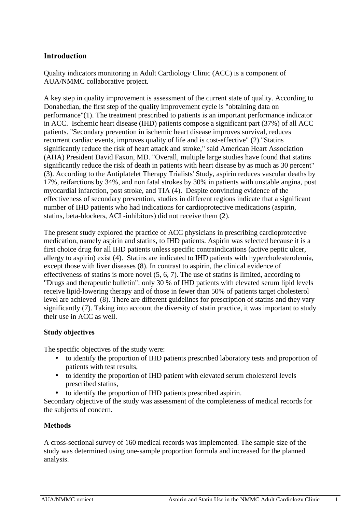# **Introduction**

Quality indicators monitoring in Adult Cardiology Clinic (ACC) is a component of AUA/NMMC collaborative project.

A key step in quality improvement is assessment of the current state of quality. According to Donabedian, the first step of the quality improvement cycle is "obtaining data on performance"(1). The treatment prescribed to patients is an important performance indicator in ACC. Ischemic heart disease (IHD) patients compose a significant part (37%) of all ACC patients. "Secondary prevention in ischemic heart disease improves survival, reduces recurrent cardiac events, improves quality of life and is cost-effective" (2)."Statins significantly reduce the risk of heart attack and stroke," said American Heart Association (AHA) President David Faxon, MD. "Overall, multiple large studies have found that statins significantly reduce the risk of death in patients with heart disease by as much as 30 percent" (3). According to the Antiplatelet Therapy Trialists' Study, aspirin reduces vascular deaths by 17%, reifarctions by 34%, and non fatal strokes by 30% in patients with unstable angina, post myocardial infarction, post stroke, and TIA (4). Despite convincing evidence of the effectiveness of secondary prevention, studies in different regions indicate that a significant number of IHD patients who had indications for cardioprotective medications (aspirin, statins, beta-blockers, ACI -inhibitors) did not receive them (2).

The present study explored the practice of ACC physicians in prescribing cardioprotective medication, namely aspirin and statins, to IHD patients. Aspirin was selected because it is a first choice drug for all IHD patients unless specific contraindications (active peptic ulcer, allergy to aspirin) exist (4). Statins are indicated to IHD patients with hypercholesterolemia, except those with liver diseases (8). In contrast to aspirin, the clinical evidence of effectiveness of statins is more novel (5, 6, 7). The use of statins is limited, according to "Drugs and therapeutic bulletin": only 30 % of IHD patients with elevated serum lipid levels receive lipid-lowering therapy and of those in fewer than 50% of patients target cholesterol level are achieved (8). There are different guidelines for prescription of statins and they vary significantly (7). Taking into account the diversity of statin practice, it was important to study their use in ACC as well.

## **Study objectives**

The specific objectives of the study were:

- to identify the proportion of IHD patients prescribed laboratory tests and proportion of patients with test results,
- to identify the proportion of IHD patient with elevated serum cholesterol levels prescribed statins,
- to identify the proportion of IHD patients prescribed aspirin.

Secondary objective of the study was assessment of the completeness of medical records for the subjects of concern.

## **Methods**

A cross-sectional survey of 160 medical records was implemented. The sample size of the study was determined using one-sample proportion formula and increased for the planned analysis.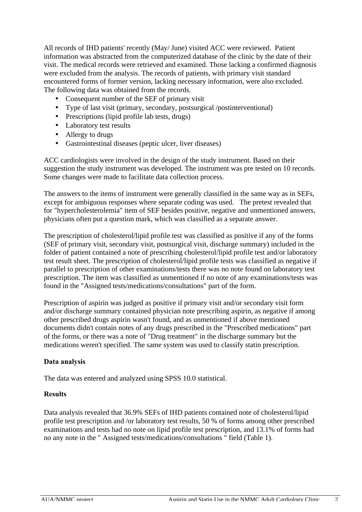All records of IHD patients' recently (May/ June) visited ACC were reviewed. Patient information was abstracted from the computerized database of the clinic by the date of their visit. The medical records were retrieved and examined. Those lacking a confirmed diagnosis were excluded from the analysis. The records of patients, with primary visit standard encountered forms of former version, lacking necessary information, were also excluded. The following data was obtained from the records.

- Consequent number of the SEF of primary visit
- Type of last visit (primary, secondary, postsurgical /postinterventional)
- Prescriptions (lipid profile lab tests, drugs)
- Laboratory test results
- Allergy to drugs
- Gastrointestinal diseases (peptic ulcer, liver diseases)

ACC cardiologists were involved in the design of the study instrument. Based on their suggestion the study instrument was developed. The instrument was pre tested on 10 records. Some changes were made to facilitate data collection process.

The answers to the items of instrument were generally classified in the same way as in SEFs, except for ambiguous responses where separate coding was used. The pretest revealed that for "hypercholesterolemia" item of SEF besides positive, negative and unmentioned answers, physicians often put a question mark, which was classified as a separate answer.

The prescription of cholesterol/lipid profile test was classified as positive if any of the forms (SEF of primary visit, secondary visit, postsurgical visit, discharge summary) included in the folder of patient contained a note of prescribing cholesterol/lipid profile test and/or laboratory test result sheet. The prescription of cholesterol/lipid profile tests was classified as negative if parallel to prescription of other examinations/tests there was no note found on laboratory test prescription. The item was classified as unmentioned if no note of any examinations/tests was found in the "Assigned tests/medications/consultations" part of the form.

Prescription of aspirin was judged as positive if primary visit and/or secondary visit form and/or discharge summary contained physician note prescribing aspirin, as negative if among other prescribed drugs aspirin wasn't found, and as unmentioned if above mentioned documents didn't contain notes of any drugs prescribed in the "Prescribed medications" part of the forms, or there was a note of "Drug treatment" in the discharge summary but the medications weren't specified. The same system was used to classify statin prescription.

## **Data analysis**

The data was entered and analyzed using SPSS 10.0 statistical.

## **Results**

Data analysis revealed that 36.9% SEFs of IHD patients contained note of cholesterol/lipid profile test prescription and /or laboratory test results, 50 % of forms among other prescribed examinations and tests had no note on lipid profile test prescription, and 13.1% of forms had no any note in the " Assigned tests/medications/consultations " field (Table 1).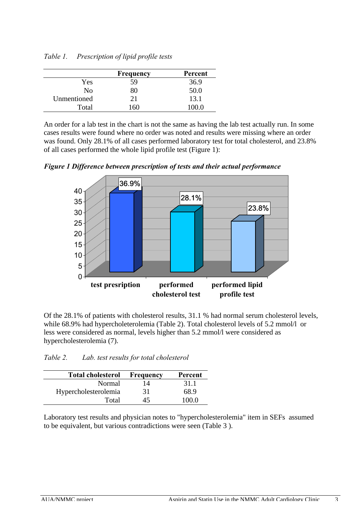|             | Frequency | Percent |
|-------------|-----------|---------|
| Yes         | 59        | 36.9    |
| Nο          | 80        | 50.0    |
| Unmentioned | 21        | 13.1    |
| Total       | 160       |         |

*Table 1. Prescription of lipid profile tests* 

An order for a lab test in the chart is not the same as having the lab test actually run. In some cases results were found where no order was noted and results were missing where an order was found. Only 28.1% of all cases performed laboratory test for total cholesterol, and 23.8% of all cases performed the whole lipid profile test (Figure 1):

*Figure 1 Difference between prescription of tests and their actual performance* 



Of the 28.1% of patients with cholesterol results, 31.1 % had normal serum cholesterol levels, while 68.9% had hypercholeterolemia (Table 2). Total cholesterol levels of 5.2 mmol/l or less were considered as normal, levels higher than 5.2 mmol/l were considered as hypercholesterolemia (7).

| <b>Total cholesterol</b> | Frequency | Percent |
|--------------------------|-----------|---------|
| Normal                   | 14        | 31.1    |
| Hypercholesterolemia     | 31        | 68.9    |
| Total                    | 45        | 100.0   |

*Table 2. Lab. test results for total cholesterol* 

Laboratory test results and physician notes to "hypercholesterolemia" item in SEFs assumed to be equivalent, but various contradictions were seen (Table 3 ).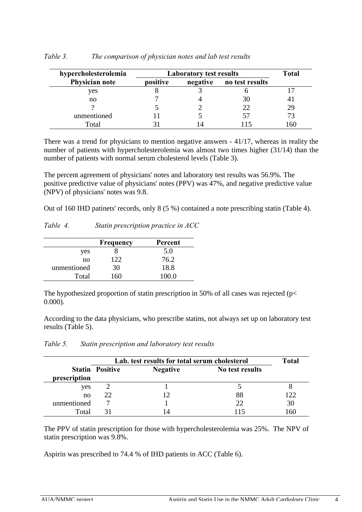| hypercholesterolemia |          | <b>Laboratory test results</b> |                 | <b>Total</b> |
|----------------------|----------|--------------------------------|-----------------|--------------|
| Physician note       | positive | negative                       | no test results |              |
| yes                  |          |                                |                 |              |
| no                   |          |                                | .3U             |              |
|                      |          |                                | 22              | 29           |
| unmentioned          |          |                                | ר ל             |              |
| Total                |          |                                |                 |              |

#### *Table 3. The comparison of physician notes and lab test results*

There was a trend for physicians to mention negative answers - 41/17, whereas in reality the number of patients with hypercholesterolemia was almost two times higher (31/14) than the number of patients with normal serum cholesterol levels (Table 3).

The percent agreement of physicians' notes and laboratory test results was 56.9%. The positive predictive value of physicians' notes (PPV) was 47%, and negative predictive value (NPV) of physicians' notes was 9.8.

Out of 160 IHD patinets' records, only 8 (5 %) contained a note prescribing statin (Table 4).

| Table 4. |  | Statin prescription practice in ACC |  |
|----------|--|-------------------------------------|--|
|          |  |                                     |  |

|             | Frequency | Percent |
|-------------|-----------|---------|
| yes         |           | 5.0     |
| no          | 122       | 76.2    |
| unmentioned | 30        | 18.8    |
| Total       |           | 100.0   |

The hypothesized proportion of statin prescription in 50% of all cases was rejected ( $p$  < 0.000).

According to the data physicians, who prescribe statins, not always set up on laboratory test results (Table 5).

|              | Lab. test results for total serum cholesterol |                 |                 |     |
|--------------|-----------------------------------------------|-----------------|-----------------|-----|
| prescription | <b>Statin Positive</b>                        | <b>Negative</b> | No test results |     |
| yes          |                                               |                 |                 |     |
| no           | 22                                            | 12              | 88              | 122 |
| unmentioned  |                                               |                 | 22              | 30  |
| Total        |                                               | 14              | 15              | 160 |

# *Table 5. Statin prescription and laboratory test results*

The PPV of statin prescription for those with hypercholesterolemia was 25%. The NPV of statin prescription was 9.8%.

Aspirin was prescribed to 74.4 % of IHD patients in ACC (Table 6).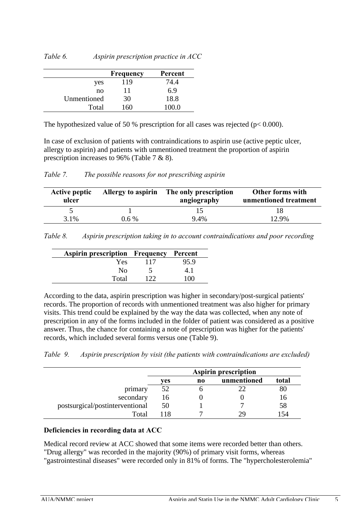| Table 6. | Aspirin prescription practice in $ACC$ |  |
|----------|----------------------------------------|--|
|          |                                        |  |

|             | Frequency | Percent |
|-------------|-----------|---------|
| yes         | 119       | 74.4    |
| no          | 11        | 6.9     |
| Unmentioned | 30        | 18.8    |
| Total       | $160 -$   | 100 O   |

The hypothesized value of 50 % prescription for all cases was rejected ( $p < 0.000$ ).

In case of exclusion of patients with contraindications to aspirin use (active peptic ulcer, allergy to aspirin) and patients with unmentioned treatment the proportion of aspirin prescription increases to 96% (Table 7 & 8).

| Table 7. | The possible reasons for not prescribing aspirin |  |
|----------|--------------------------------------------------|--|
|          |                                                  |  |

| <b>Active peptic</b><br>ulcer | Allergy to aspirin | The only prescription<br>angiography | Other forms with<br>unmentioned treatment |
|-------------------------------|--------------------|--------------------------------------|-------------------------------------------|
|                               |                    |                                      |                                           |
| 3.1%                          | $0.6\%$            | 9.4%                                 | 12.9%                                     |

*Table 8. Aspirin prescription taking in to account contraindications and poor recording*

| <b>Aspirin prescription Frequency Percent</b> |     |      |
|-----------------------------------------------|-----|------|
| Yes                                           | 117 | 95.9 |
| No.                                           |     | 41   |
| Total                                         | 177 | 10O  |

According to the data, aspirin prescription was higher in secondary/post-surgical patients' records. The proportion of records with unmentioned treatment was also higher for primary visits. This trend could be explained by the way the data was collected, when any note of prescription in any of the forms included in the folder of patient was considered as a positive answer. Thus, the chance for containing a note of prescription was higher for the patients' records, which included several forms versus one (Table 9).

| Table 9. |  |  |  | Aspirin prescription by visit (the patients with contraindications are excluded) |  |
|----------|--|--|--|----------------------------------------------------------------------------------|--|
|----------|--|--|--|----------------------------------------------------------------------------------|--|

|                                 | <b>Aspirin prescription</b> |    |             |       |
|---------------------------------|-----------------------------|----|-------------|-------|
|                                 | ves                         | no | unmentioned | total |
| primary                         |                             |    |             | 80    |
| secondary                       | 16                          |    |             | 16    |
| postsurgical/postinterventional | 50                          |    |             | 58    |
| Total                           | 118                         |    |             | -54   |

#### **Deficiencies in recording data at ACC**

Medical record review at ACC showed that some items were recorded better than others. "Drug allergy" was recorded in the majority (90%) of primary visit forms, whereas

"gastrointestinal diseases" were recorded only in 81% of forms. The "hypercholesterolemia"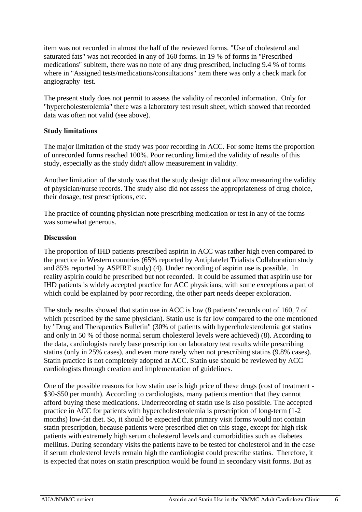item was not recorded in almost the half of the reviewed forms. "Use of cholesterol and saturated fats" was not recorded in any of 160 forms. In 19 % of forms in "Prescribed medications" subitem, there was no note of any drug prescribed, including 9.4 % of forms where in "Assigned tests/medications/consultations" item there was only a check mark for angiography test.

The present study does not permit to assess the validity of recorded information. Only for "hypercholesterolemia" there was a laboratory test result sheet, which showed that recorded data was often not valid (see above).

## **Study limitations**

The major limitation of the study was poor recording in ACC. For some items the proportion of unrecorded forms reached 100%. Poor recording limited the validity of results of this study, especially as the study didn't allow measurement in validity.

Another limitation of the study was that the study design did not allow measuring the validity of physician/nurse records. The study also did not assess the appropriateness of drug choice, their dosage, test prescriptions, etc.

The practice of counting physician note prescribing medication or test in any of the forms was somewhat generous.

#### **Discussion**

The proportion of IHD patients prescribed aspirin in ACC was rather high even compared to the practice in Western countries (65% reported by Antiplatelet Trialists Collaboration study and 85% reported by ASPIRE study) (4). Under recording of aspirin use is possible. In reality aspirin could be prescribed but not recorded. It could be assumed that aspirin use for IHD patients is widely accepted practice for ACC physicians; with some exceptions a part of which could be explained by poor recording, the other part needs deeper exploration.

The study results showed that statin use in ACC is low (8 patients' records out of 160, 7 of which prescribed by the same physician). Statin use is far low compared to the one mentioned by "Drug and Therapeutics Bulletin" (30% of patients with hypercholesterolemia got statins and only in 50 % of those normal serum cholesterol levels were achieved) (8). According to the data, cardiologists rarely base prescription on laboratory test results while prescribing statins (only in 25% cases), and even more rarely when not prescribing statins (9.8% cases). Statin practice is not completely adopted at ACC. Statin use should be reviewed by ACC cardiologists through creation and implementation of guidelines.

One of the possible reasons for low statin use is high price of these drugs (cost of treatment - \$30-\$50 per month). According to cardiologists, many patients mention that they cannot afford buying these medications. Underrecording of statin use is also possible. The accepted practice in ACC for patients with hypercholesterolemia is prescription of long-term (1-2 months) low-fat diet. So, it should be expected that primary visit forms would not contain statin prescription, because patients were prescribed diet on this stage, except for high risk patients with extremely high serum cholesterol levels and comorbidities such as diabetes mellitus. During secondary visits the patients have to be tested for cholesterol and in the case if serum cholesterol levels remain high the cardiologist could prescribe statins. Therefore, it is expected that notes on statin prescription would be found in secondary visit forms. But as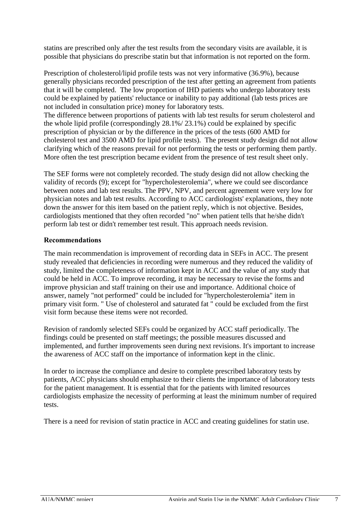statins are prescribed only after the test results from the secondary visits are available, it is possible that physicians do prescribe statin but that information is not reported on the form.

Prescription of cholesterol/lipid profile tests was not very informative (36.9%), because generally physicians recorded prescription of the test after getting an agreement from patients that it will be completed. The low proportion of IHD patients who undergo laboratory tests could be explained by patients' reluctance or inability to pay additional (lab tests prices are not included in consultation price) money for laboratory tests.

The difference between proportions of patients with lab test results for serum cholesterol and the whole lipid profile (correspondingly 28.1%/ 23.1%) could be explained by specific prescription of physician or by the difference in the prices of the tests (600 AMD for cholesterol test and 3500 AMD for lipid profile tests). The present study design did not allow clarifying which of the reasons prevail for not performing the tests or performing them partly. More often the test prescription became evident from the presence of test result sheet only.

The SEF forms were not completely recorded. The study design did not allow checking the validity of records (9); except for "hypercholesterolemia", where we could see discordance between notes and lab test results. The PPV, NPV, and percent agreement were very low for physician notes and lab test results. According to ACC cardiologists' explanations, they note down the answer for this item based on the patient reply, which is not objective. Besides, cardiologists mentioned that they often recorded "no" when patient tells that he/she didn't perform lab test or didn't remember test result. This approach needs revision.

# **Recommendations**

The main recommendation is improvement of recording data in SEFs in ACC. The present study revealed that deficiencies in recording were numerous and they reduced the validity of study, limited the completeness of information kept in ACC and the value of any study that could be held in ACC. To improve recording, it may be necessary to revise the forms and improve physician and staff training on their use and importance. Additional choice of answer, namely "not performed" could be included for "hypercholesterolemia" item in primary visit form. " Use of cholesterol and saturated fat " could be excluded from the first visit form because these items were not recorded.

Revision of randomly selected SEFs could be organized by ACC staff periodically. The findings could be presented on staff meetings; the possible measures discussed and implemented, and further improvements seen during next revisions. It's important to increase the awareness of ACC staff on the importance of information kept in the clinic.

In order to increase the compliance and desire to complete prescribed laboratory tests by patients, ACC physicians should emphasize to their clients the importance of laboratory tests for the patient management. It is essential that for the patients with limited resources cardiologists emphasize the necessity of performing at least the minimum number of required tests.

There is a need for revision of statin practice in ACC and creating guidelines for statin use.